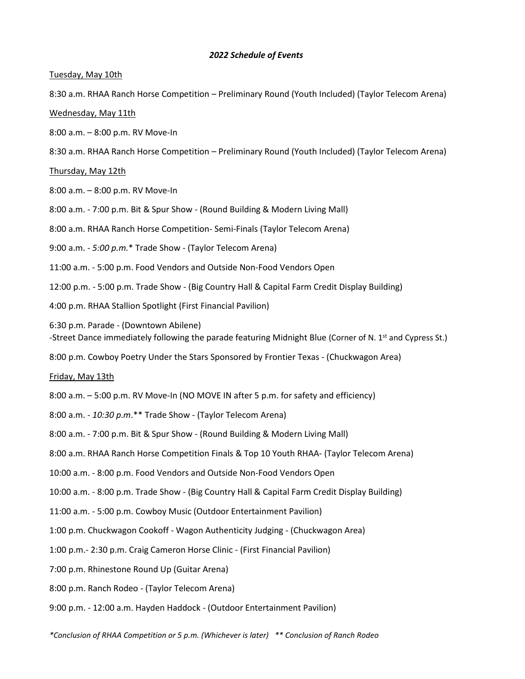## *2022 Schedule of Events*

## Tuesday, May 10th

8:30 a.m. RHAA Ranch Horse Competition – Preliminary Round (Youth Included) (Taylor Telecom Arena)

## Wednesday, May 11th

8:00 a.m. – 8:00 p.m. RV Move-In

8:30 a.m. RHAA Ranch Horse Competition – Preliminary Round (Youth Included) (Taylor Telecom Arena)

Thursday, May 12th

8:00 a.m. – 8:00 p.m. RV Move-In

8:00 a.m. - 7:00 p.m. Bit & Spur Show - (Round Building & Modern Living Mall)

8:00 a.m. RHAA Ranch Horse Competition- Semi-Finals (Taylor Telecom Arena)

9:00 a.m. - *5:00 p.m.*\* Trade Show - (Taylor Telecom Arena)

11:00 a.m. - 5:00 p.m. Food Vendors and Outside Non-Food Vendors Open

12:00 p.m. - 5:00 p.m. Trade Show - (Big Country Hall & Capital Farm Credit Display Building)

4:00 p.m. RHAA Stallion Spotlight (First Financial Pavilion)

6:30 p.m. Parade - (Downtown Abilene) -Street Dance immediately following the parade featuring Midnight Blue (Corner of N. 1<sup>st</sup> and Cypress St.)

8:00 p.m. Cowboy Poetry Under the Stars Sponsored by Frontier Texas - (Chuckwagon Area)

Friday, May 13th

8:00 a.m. – 5:00 p.m. RV Move-In (NO MOVE IN after 5 p.m. for safety and efficiency)

8:00 a.m. - *10:30 p.m*.\*\* Trade Show - (Taylor Telecom Arena)

8:00 a.m. - 7:00 p.m. Bit & Spur Show - (Round Building & Modern Living Mall)

8:00 a.m. RHAA Ranch Horse Competition Finals & Top 10 Youth RHAA- (Taylor Telecom Arena)

10:00 a.m. - 8:00 p.m. Food Vendors and Outside Non-Food Vendors Open

10:00 a.m. - 8:00 p.m. Trade Show - (Big Country Hall & Capital Farm Credit Display Building)

11:00 a.m. - 5:00 p.m. Cowboy Music (Outdoor Entertainment Pavilion)

1:00 p.m. Chuckwagon Cookoff - Wagon Authenticity Judging - (Chuckwagon Area)

1:00 p.m.- 2:30 p.m. Craig Cameron Horse Clinic - (First Financial Pavilion)

7:00 p.m. Rhinestone Round Up (Guitar Arena)

8:00 p.m. Ranch Rodeo - (Taylor Telecom Arena)

9:00 p.m. - 12:00 a.m. Hayden Haddock - (Outdoor Entertainment Pavilion)